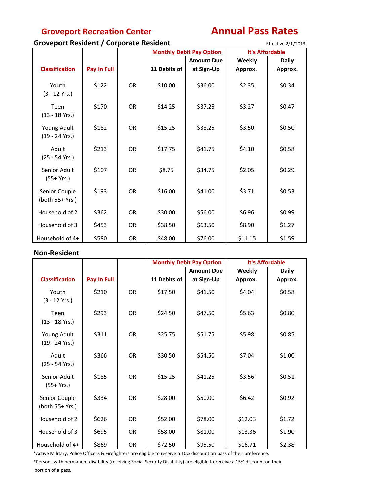### **Groveport Recreation Center Annual Pass Rates**

#### **Groveport Resident / Corporate Resident**

**Amount Due Weekly Daily Classification Pay In Full 11 Debits of at Sign-Up Approx. Approx.** Approx. Youth | \$122 | OR | \$10.00 | \$36.00 | \$2.35 | \$0.34 (3 - 12 Yrs.) Teen | \$170 | OR | \$14.25 | \$37.25 | \$3.27 | \$0.47 (13 - 18 Yrs.) Young Adult | \$182 | OR | \$15.25 | \$38.25 | \$3.50 | \$0.50 (19 - 24 Yrs.) Adult | \$213 | OR | \$17.75 | \$41.75 | \$4.10 | \$0.58 (25 - 54 Yrs.) Senior Adult | \$107 | OR | \$8.75 | \$34.75 | \$2.05 | \$0.29 (55+ Yrs.) Senior Couple | \$193 | OR | \$16.00 | \$41.00 | \$3.71 | \$0.53 (both 55+ Yrs.) Household of 2 | \$362 | OR | \$30.00 | \$56.00 | \$6.96 | \$0.99 Household of 3 | \$453 | OR | \$38.50 | \$63.50 | \$8.90 | \$1.27 Household of 4+  $\begin{vmatrix} 5580 \end{vmatrix}$  OR  $\begin{vmatrix} 548.00 \end{vmatrix}$  \$76.00  $\begin{vmatrix} 511.15 \end{vmatrix}$  \$1.59 Effective 2/1/2013 **Monthly Debit Pay Option It's Affordable**

#### **Non-Resident**

|                                  |             |           | <b>Monthly Debit Pay Option</b> |                   | <b>It's Affordable</b> |              |
|----------------------------------|-------------|-----------|---------------------------------|-------------------|------------------------|--------------|
|                                  |             |           |                                 | <b>Amount Due</b> | Weekly                 | <b>Daily</b> |
| <b>Classification</b>            | Pay In Full |           | 11 Debits of                    | at Sign-Up        | Approx.                | Approx.      |
| Youth<br>$(3 - 12$ Yrs.)         | \$210       | <b>OR</b> | \$17.50                         | \$41.50           | \$4.04                 | \$0.58       |
| Teen<br>$(13 - 18$ Yrs.)         | \$293       | <b>OR</b> | \$24.50                         | \$47.50           | \$5.63                 | \$0.80       |
| Young Adult<br>$(19 - 24$ Yrs.)  | \$311       | <b>OR</b> | \$25.75                         | \$51.75           | \$5.98                 | \$0.85       |
| Adult<br>$(25 - 54$ Yrs.)        | \$366       | <b>OR</b> | \$30.50                         | \$54.50           | \$7.04                 | \$1.00       |
| Senior Adult<br>$(55+Yrs.)$      | \$185       | OR.       | \$15.25                         | \$41.25           | \$3.56                 | \$0.51       |
| Senior Couple<br>(both 55+ Yrs.) | \$334       | <b>OR</b> | \$28.00                         | \$50.00           | \$6.42                 | \$0.92       |
| Household of 2                   | \$626       | OR.       | \$52.00                         | \$78.00           | \$12.03                | \$1.72       |
| Household of 3                   | \$695       | OR.       | \$58.00                         | \$81.00           | \$13.36                | \$1.90       |
| Household of 4+                  | \$869       | OR.       | \$72.50                         | \$95.50           | \$16.71                | \$2.38       |

\*Active Military, Police Officers & Firefighters are eligible to receive a 10% discount on pass of their preference.

\*Persons with permanent disability (receiving Social Security Disability) are eligible to receive a 15% discount on their portion of a pass.